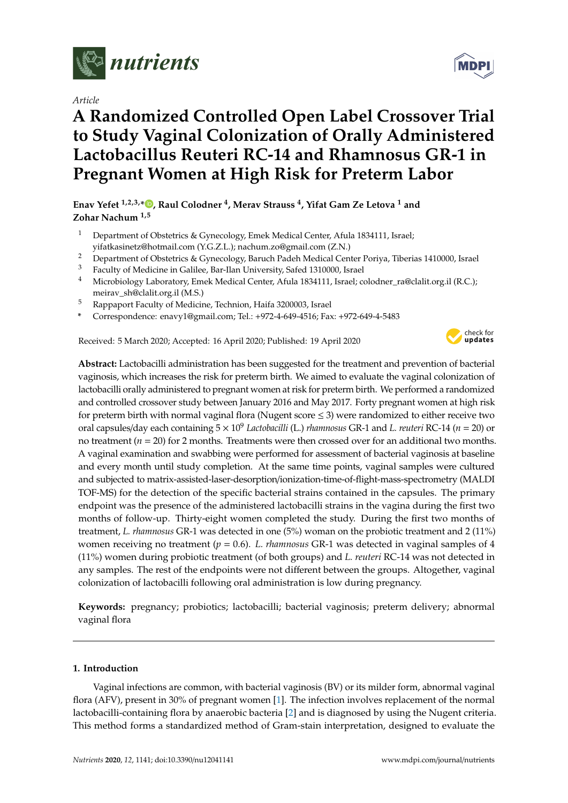

*Article*

# **A Randomized Controlled Open Label Crossover Trial to Study Vaginal Colonization of Orally Administered Lactobacillus Reuteri RC-14 and Rhamnosus GR-1 in Pregnant Women at High Risk for Preterm Labor**

**Enav Yefet 1,2,3,\* [,](https://orcid.org/0000-0002-3102-0739) Raul Colodner <sup>4</sup> , Merav Strauss <sup>4</sup> , Yifat Gam Ze Letova <sup>1</sup> and Zohar Nachum 1,5**

- <sup>1</sup> Department of Obstetrics & Gynecology, Emek Medical Center, Afula 1834111, Israel; yifatkasinetz@hotmail.com (Y.G.Z.L.); nachum.zo@gmail.com (Z.N.)
- <sup>2</sup> Department of Obstetrics & Gynecology, Baruch Padeh Medical Center Poriya, Tiberias 1410000, Israel
- <sup>3</sup> Faculty of Medicine in Galilee, Bar-Ilan University, Safed 1310000, Israel
- Microbiology Laboratory, Emek Medical Center, Afula 1834111, Israel; colodner\_ra@clalit.org.il (R.C.); meirav\_sh@clalit.org.il (M.S.)
- <sup>5</sup> Rappaport Faculty of Medicine, Technion, Haifa 3200003, Israel
- **\*** Correspondence: enavy1@gmail.com; Tel.: +972-4-649-4516; Fax: +972-649-4-5483

Received: 5 March 2020; Accepted: 16 April 2020; Published: 19 April 2020



**Abstract:** Lactobacilli administration has been suggested for the treatment and prevention of bacterial vaginosis, which increases the risk for preterm birth. We aimed to evaluate the vaginal colonization of lactobacilli orally administered to pregnant women at risk for preterm birth. We performed a randomized and controlled crossover study between January 2016 and May 2017. Forty pregnant women at high risk for preterm birth with normal vaginal flora (Nugent score  $\leq$  3) were randomized to either receive two oral capsules/day each containing 5 × 10<sup>9</sup> *Lactobacilli* (L.) *rhamnosus* GR-1 and *L. reuteri* RC-14 (*n* = 20) or no treatment (*n* = 20) for 2 months. Treatments were then crossed over for an additional two months. A vaginal examination and swabbing were performed for assessment of bacterial vaginosis at baseline and every month until study completion. At the same time points, vaginal samples were cultured and subjected to matrix-assisted-laser-desorption/ionization-time-of-flight-mass-spectrometry (MALDI TOF-MS) for the detection of the specific bacterial strains contained in the capsules. The primary endpoint was the presence of the administered lactobacilli strains in the vagina during the first two months of follow-up. Thirty-eight women completed the study. During the first two months of treatment, *L. rhamnosus* GR-1 was detected in one (5%) woman on the probiotic treatment and 2 (11%) women receiving no treatment ( $p = 0.6$ ). *L. rhamnosus* GR-1 was detected in vaginal samples of 4 (11%) women during probiotic treatment (of both groups) and *L. reuteri* RC-14 was not detected in any samples. The rest of the endpoints were not different between the groups. Altogether, vaginal colonization of lactobacilli following oral administration is low during pregnancy.

**Keywords:** pregnancy; probiotics; lactobacilli; bacterial vaginosis; preterm delivery; abnormal vaginal flora

# **1. Introduction**

Vaginal infections are common, with bacterial vaginosis (BV) or its milder form, abnormal vaginal flora (AFV), present in 30% of pregnant women [\[1\]](#page-7-0). The infection involves replacement of the normal lactobacilli-containing flora by anaerobic bacteria [\[2\]](#page-7-1) and is diagnosed by using the Nugent criteria. This method forms a standardized method of Gram-stain interpretation, designed to evaluate the

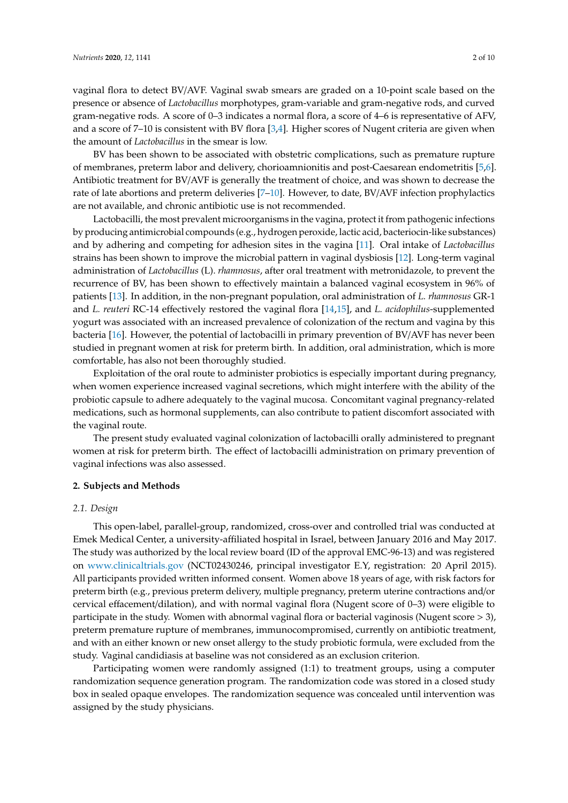vaginal flora to detect BV/AVF. Vaginal swab smears are graded on a 10-point scale based on the presence or absence of *Lactobacillus* morphotypes, gram-variable and gram-negative rods, and curved gram-negative rods. A score of 0–3 indicates a normal flora, a score of 4–6 is representative of AFV, and a score of 7–10 is consistent with BV flora [\[3,](#page-7-2)[4\]](#page-7-3). Higher scores of Nugent criteria are given when the amount of *Lactobacillus* in the smear is low.

BV has been shown to be associated with obstetric complications, such as premature rupture of membranes, preterm labor and delivery, chorioamnionitis and post-Caesarean endometritis [\[5,](#page-7-4)[6\]](#page-7-5). Antibiotic treatment for BV/AVF is generally the treatment of choice, and was shown to decrease the rate of late abortions and preterm deliveries [\[7–](#page-7-6)[10\]](#page-8-0). However, to date, BV/AVF infection prophylactics are not available, and chronic antibiotic use is not recommended.

Lactobacilli, the most prevalent microorganisms in the vagina, protect it from pathogenic infections by producing antimicrobial compounds (e.g., hydrogen peroxide, lactic acid, bacteriocin-like substances) and by adhering and competing for adhesion sites in the vagina [\[11\]](#page-8-1). Oral intake of *Lactobacillus* strains has been shown to improve the microbial pattern in vaginal dysbiosis [\[12\]](#page-8-2). Long-term vaginal administration of *Lactobacillus* (L). *rhamnosus*, after oral treatment with metronidazole, to prevent the recurrence of BV, has been shown to effectively maintain a balanced vaginal ecosystem in 96% of patients [\[13\]](#page-8-3). In addition, in the non-pregnant population, oral administration of *L. rhamnosus* GR-1 and *L. reuteri* RC-14 effectively restored the vaginal flora [\[14,](#page-8-4)[15\]](#page-8-5), and *L. acidophilus*-supplemented yogurt was associated with an increased prevalence of colonization of the rectum and vagina by this bacteria [\[16\]](#page-8-6). However, the potential of lactobacilli in primary prevention of BV/AVF has never been studied in pregnant women at risk for preterm birth. In addition, oral administration, which is more comfortable, has also not been thoroughly studied.

Exploitation of the oral route to administer probiotics is especially important during pregnancy, when women experience increased vaginal secretions, which might interfere with the ability of the probiotic capsule to adhere adequately to the vaginal mucosa. Concomitant vaginal pregnancy-related medications, such as hormonal supplements, can also contribute to patient discomfort associated with the vaginal route.

The present study evaluated vaginal colonization of lactobacilli orally administered to pregnant women at risk for preterm birth. The effect of lactobacilli administration on primary prevention of vaginal infections was also assessed.

# **2. Subjects and Methods**

# *2.1. Design*

This open-label, parallel-group, randomized, cross-over and controlled trial was conducted at Emek Medical Center, a university-affiliated hospital in Israel, between January 2016 and May 2017. The study was authorized by the local review board (ID of the approval EMC-96-13) and was registered on <www.clinicaltrials.gov> (NCT02430246, principal investigator E.Y, registration: 20 April 2015). All participants provided written informed consent. Women above 18 years of age, with risk factors for preterm birth (e.g., previous preterm delivery, multiple pregnancy, preterm uterine contractions and/or cervical effacement/dilation), and with normal vaginal flora (Nugent score of 0–3) were eligible to participate in the study. Women with abnormal vaginal flora or bacterial vaginosis (Nugent score > 3), preterm premature rupture of membranes, immunocompromised, currently on antibiotic treatment, and with an either known or new onset allergy to the study probiotic formula, were excluded from the study. Vaginal candidiasis at baseline was not considered as an exclusion criterion.

Participating women were randomly assigned (1:1) to treatment groups, using a computer randomization sequence generation program. The randomization code was stored in a closed study box in sealed opaque envelopes. The randomization sequence was concealed until intervention was assigned by the study physicians.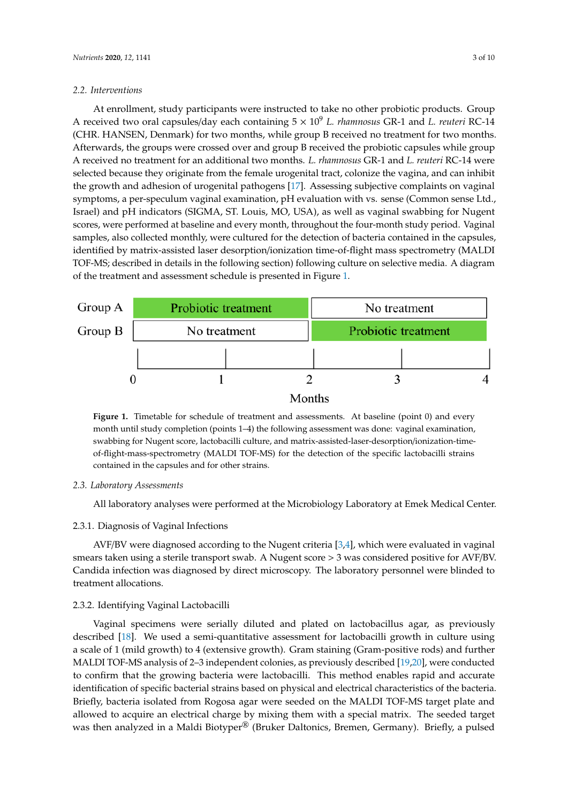# *2.2. Interventions 2.2. Interventions*

At enrollment, study participants were instructed to take no other probiotic products. Group A received two oral capsules/day each containing  $5 \times 10^9$  *L. rhamnosus* GR-1 and *L. reuteri* RC-14 (CHR. HANSEN, Denmark) for two months, while group B received no treatment for two months. HANSEN, Denmark) for two months, while group B received no treatment for two months. Afterwards, the groups were crossed over and group B received the probiotic capsules while group Afterwards, the groups were crossed over and group B received the probiotic capsules while group A received no treatment for an additional two months. *L. rhamnosus* GR-1 and *L. reuteri* RC-14 were A received no treatment for an additional two months. *L. rhamnosus* GR-1 and *L. reuteri* RC-14 were selected because they originate from the female urogenital tract, colonize the vagina, and can inhibit selected because they originate from the female urogenital tract, colonize the vagina, and can inhibit the growth and adhesion of urogenital pathogens [\[17\]](#page-8-7). Assessing subjective complaints on vaginal the growth and adhesion of urogenital pathogens [17]. Assessing subjective complaints on vaginal symptoms, a per-speculum vaginal examination, pH evaluation with vs. sense (Common sense Ltd., symptoms, a per-speculum vaginal examination, pH evaluation with vs. sense (Common sense Ltd., Israel) and pH indicators (SIGMA, ST. Louis, MO, USA), as well as vaginal swabbing for Nugent Israel) and pH indicators (SIGMA, ST. Louis, MO, USA), as well as vaginal swabbing for Nugent scores, were performed at baseline and every month, throughout the four-month study period. Vaginal scores, were performed at baseline and every month, throughout the four-month study period. samples, also collected monthly, were cultured for the detection of bacteria contained in the capsules, identified by matrix-assisted laser desorption/ionization time-of-flight mass spectrometry (MALDI TOF-MS; described in details in the following section) following culture on selective media. A diagram of the treatment and assessment schedule is presented in Figure [1.](#page-2-0)

<span id="page-2-0"></span>

**Figure 1.** Timetable for schedule of treatment and assessments. At baseline (point 0) and every **Figure 1.** Timetable for schedule of treatment and assessments. At baseline (point 0) and every month until study completion (points 1–4) the following assessment was done: vaginal examination, month until study completion (points 1–4) the following assessment was done: vaginal examination, swabbing for Nugent score, lactobacilli culture, and matrix-assisted-laser-desorption/ionization-timeof-flight-mass-spectrometry (MALDI TOF-MS) for the detection of the specific lactobacilli strains contained in the capsules and for other strains.

#### *2.3. Laboratory Assessments 2.3. Laboratory Assessments*

 $\mathcal{L}$  laboratory analyses were performed at the Microbiology Laboratory at Emek Medical Medical Medical Medical Medical Medical Medical Medical Medical Medical Medical Medical Medical Medical Medical Medical Medical Me All laboratory analyses were performed at the Microbiology Laboratory at Emek Medical Center.

# 2.3.1. Diagnosis of Vaginal Infections

*2.3. 1. Diagnosis of Vaginal Infections*  AVF/BV were diagnosed according to the Nugent criteria [\[3](#page-7-2)[,4\]](#page-7-3), which were evaluated in vaginal Candida infection was diagnosed by direct microscopy. The laboratory personnel were blinded to treatment allocations. A Nugent system is a Nugent score sterile transport such as  $\alpha$ smears taken using a sterile transport swab. A Nugent score > 3 was considered positive for AVF/BV.

# 2.3.2. Identifying Vaginal Lactobacilli

*2.3. 2. Identifying Vaginal Lactobacilli*  described [\[18\]](#page-8-8). We used a semi-quantitative assessment for lactobacilli growth in culture using a scale of 1 (mild growth) to 4 (extensive growth). Gram staining (Gram-positive rods) and further MALDI TOF-MS analysis of 2-3 [in](#page-8-10)dependent colonies, as previously described [19,20], were conducted to confirm that the growing bacteria were lactobacilli. This method enables rapid and accurate identification of specific bacterial strains based on physical and electrical characteristics of the bacteria. Briefly, bacteria isolated from Rogosa agar were seeded on the MALDI TOF-MS target plate and allowed to acquire an electrical charge by mixing them with a special matrix. The seeded target was then analyzed in a Maldi Biotyper® (Bruker Daltonics, Bremen, Germany). Briefly, a pulsed Vaginal specimens were serially diluted and plated on lactobacillus agar, as previously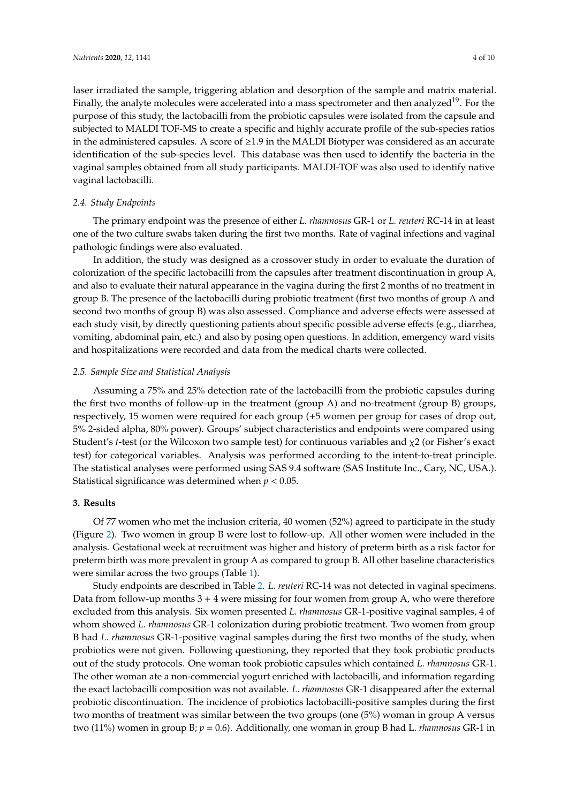laser irradiated the sample, triggering ablation and desorption of the sample and matrix material. Finally, the analyte molecules were accelerated into a mass spectrometer and then analyzed<sup>19</sup>. For the purpose of this study, the lactobacilli from the probiotic capsules were isolated from the capsule and subjected to MALDI TOF-MS to create a specific and highly accurate profile of the sub-species ratios in the administered capsules. A score of  $\geq$ 1.9 in the MALDI Biotyper was considered as an accurate identification of the sub-species level. This database was then used to identify the bacteria in the vaginal samples obtained from all study participants. MALDI-TOF was also used to identify native vaginal lactobacilli.

# *2.4. Study Endpoints*

The primary endpoint was the presence of either *L. rhamnosus* GR-1 or *L. reuteri* RC-14 in at least one of the two culture swabs taken during the first two months. Rate of vaginal infections and vaginal pathologic findings were also evaluated.

In addition, the study was designed as a crossover study in order to evaluate the duration of colonization of the specific lactobacilli from the capsules after treatment discontinuation in group A, and also to evaluate their natural appearance in the vagina during the first 2 months of no treatment in group B. The presence of the lactobacilli during probiotic treatment (first two months of group A and second two months of group B) was also assessed. Compliance and adverse effects were assessed at each study visit, by directly questioning patients about specific possible adverse effects (e.g., diarrhea, vomiting, abdominal pain, etc.) and also by posing open questions. In addition, emergency ward visits and hospitalizations were recorded and data from the medical charts were collected.

# *2.5. Sample Size and Statistical Analysis*

Assuming a 75% and 25% detection rate of the lactobacilli from the probiotic capsules during the first two months of follow-up in the treatment (group A) and no-treatment (group B) groups, respectively, 15 women were required for each group (+5 women per group for cases of drop out, 5% 2-sided alpha, 80% power). Groups' subject characteristics and endpoints were compared using Student's *t*-test (or the Wilcoxon two sample test) for continuous variables and χ2 (or Fisher's exact test) for categorical variables. Analysis was performed according to the intent-to-treat principle. The statistical analyses were performed using SAS 9.4 software (SAS Institute Inc., Cary, NC, USA.). Statistical significance was determined when *p* < 0.05.

#### **3. Results**

Of 77 women who met the inclusion criteria, 40 women (52%) agreed to participate in the study (Figure [2\)](#page-4-0). Two women in group B were lost to follow-up. All other women were included in the analysis. Gestational week at recruitment was higher and history of preterm birth as a risk factor for preterm birth was more prevalent in group A as compared to group B. All other baseline characteristics were similar across the two groups (Table [1\)](#page-4-1).

Study endpoints are described in Table [2.](#page-5-0) *L. reuteri* RC-14 was not detected in vaginal specimens. Data from follow-up months  $3 + 4$  were missing for four women from group A, who were therefore excluded from this analysis. Six women presented *L. rhamnosus* GR-1-positive vaginal samples, 4 of whom showed *L. rhamnosus* GR-1 colonization during probiotic treatment. Two women from group B had *L. rhamnosus* GR-1-positive vaginal samples during the first two months of the study, when probiotics were not given. Following questioning, they reported that they took probiotic products out of the study protocols. One woman took probiotic capsules which contained *L. rhamnosus* GR-1. The other woman ate a non-commercial yogurt enriched with lactobacilli, and information regarding the exact lactobacilli composition was not available. *L. rhamnosus* GR-1 disappeared after the external probiotic discontinuation. The incidence of probiotics lactobacilli-positive samples during the first two months of treatment was similar between the two groups (one (5%) woman in group A versus two (11%) women in group B; *p* = 0.6). Additionally, one woman in group B had L. *rhamnosus* GR-1 in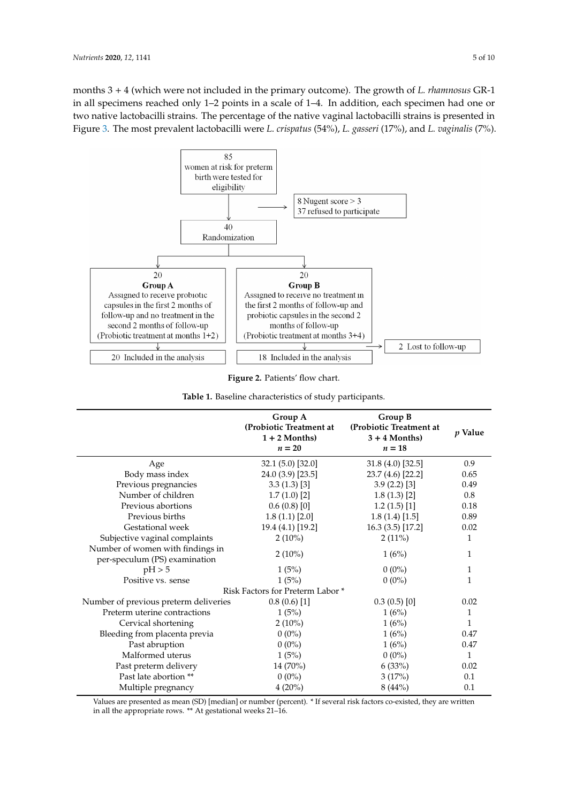months 3 + 4 (which were not included in the primary outcome). The growth of *L. rhamnosus* GR-1 in all specimens reached only 1–2 points in a scale of 1–4. In addition, each specimen had one or two native lactobacilli strains. The percentage of the native vaginal lactobacilli strains is presented in Figure [3.](#page-5-1) The most prevalent lactobacilli were *L. crispatus* (54%), *L. gasseri* (17%), and *L. vaginalis* (7%).

<span id="page-4-0"></span>

**Figure 2. patients' flow chart Figure 2.** Patients' flow chart.

| Table 1. Baseline characteristics of study participants. |  |
|----------------------------------------------------------|--|
|----------------------------------------------------------|--|

<span id="page-4-1"></span>

|                                                                   | Group A<br>(Probiotic Treatment at<br>$1 + 2$ Months)<br>$n=20$ | Group B<br>(Probiotic Treatment at<br>$3 + 4$ Months)<br>$n=18$ | <i>p</i> Value |
|-------------------------------------------------------------------|-----------------------------------------------------------------|-----------------------------------------------------------------|----------------|
| Age                                                               | 32.1 (5.0) [32.0]                                               | 31.8 (4.0) [32.5]                                               | 0.9            |
| Body mass index                                                   | 24.0 (3.9) [23.5]                                               | 23.7 (4.6) [22.2]                                               | 0.65           |
| Previous pregnancies                                              | 3.3(1.3)[3]                                                     | 3.9(2.2)[3]                                                     | 0.49           |
| Number of children                                                | 1.7(1.0)[2]                                                     | 1.8(1.3)[2]                                                     | 0.8            |
| Previous abortions                                                | 0.6(0.8)[0]                                                     | 1.2(1.5)[1]                                                     | 0.18           |
| Previous births                                                   | 1.8(1.1)[2.0]                                                   | 1.8(1.4)[1.5]                                                   | 0.89           |
| Gestational week                                                  | 19.4 (4.1) [19.2]                                               | 16.3 (3.5) [17.2]                                               | 0.02           |
| Subjective vaginal complaints                                     | $2(10\%)$                                                       | $2(11\%)$                                                       | 1              |
| Number of women with findings in<br>per-speculum (PS) examination | $2(10\%)$                                                       | 1(6%)                                                           | 1              |
| pH > 5                                                            | 1(5%)                                                           | $0(0\%)$                                                        | 1              |
| Positive vs. sense                                                | 1(5%)                                                           | $0(0\%)$                                                        | 1              |
|                                                                   | Risk Factors for Preterm Labor*                                 |                                                                 |                |
| Number of previous preterm deliveries                             | 0.8(0.6)[1]                                                     | 0.3(0.5)[0]                                                     | 0.02           |
| Preterm uterine contractions                                      | 1(5%)                                                           | 1(6%)                                                           | 1              |
| Cervical shortening                                               | $2(10\%)$                                                       | 1(6%)                                                           | 1              |
| Bleeding from placenta previa                                     | $0(0\%)$                                                        | 1(6%)                                                           | 0.47           |
| Past abruption                                                    | $0(0\%)$                                                        | 1(6%)                                                           | 0.47           |
| Malformed uterus                                                  | 1(5%)                                                           | $0(0\%)$                                                        | $\mathbf{1}$   |
| Past preterm delivery                                             | 14 (70%)                                                        | 6(33%)                                                          | 0.02           |
| Past late abortion **                                             | $0(0\%)$                                                        | 3(17%)                                                          | 0.1            |
| Multiple pregnancy                                                | $4(20\%)$                                                       | 8(44%)                                                          | 0.1            |

Values are presented as mean (SD) [median] or number (percent). \* If several risk factors co-existed, they are written in all the appropriate rows. \*\* At gestational weeks 21–16.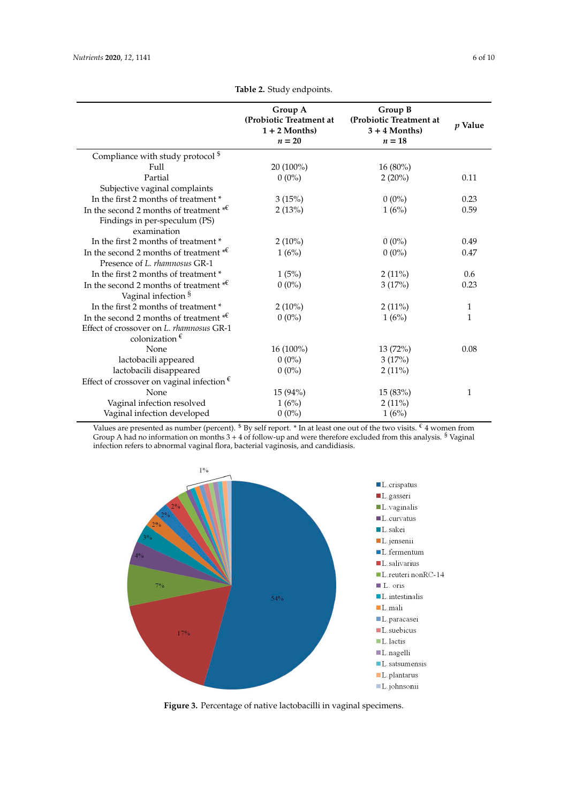<span id="page-5-0"></span>

|                                                                                                                               | Group A<br>(Probiotic Treatment at<br>$1 + 2$ Months)<br>$n=20$ | Group B<br>(Probiotic Treatment at<br>$3 + 4$ Months)<br>$n=18$ | p Value |
|-------------------------------------------------------------------------------------------------------------------------------|-----------------------------------------------------------------|-----------------------------------------------------------------|---------|
| Compliance with study protocol <sup>\$</sup>                                                                                  |                                                                 |                                                                 |         |
| Full                                                                                                                          | 20 (100%)                                                       | 16 (80%)                                                        |         |
| Partial                                                                                                                       | $0(0\%)$                                                        | $2(20\%)$                                                       | 0.11    |
| Subjective vaginal complaints                                                                                                 |                                                                 |                                                                 |         |
| In the first 2 months of treatment *                                                                                          | 3(15%)                                                          | $0(0\%)$                                                        | 0.23    |
| In the second 2 months of treatment $*^{\mathfrak{C}}$<br>Findings in per-speculum (PS)<br>examination                        | 2(13%)                                                          | 1(6%)                                                           | 0.59    |
| In the first 2 months of treatment *                                                                                          | $2(10\%)$                                                       | $0(0\%)$                                                        | 0.49    |
| In the second 2 months of treatment $*^{\mathfrak{C}}$<br>Presence of L. rhamnosus GR-1                                       | 1(6%)                                                           | $0(0\%)$                                                        | 0.47    |
| In the first 2 months of treatment *                                                                                          | 1(5%)                                                           | $2(11\%)$                                                       | 0.6     |
| In the second 2 months of treatment $*^{\mathfrak{C}}$<br>Vaginal infection §                                                 | $0(0\%)$                                                        | 3(17%)                                                          | 0.23    |
| In the first 2 months of treatment *                                                                                          | $2(10\%)$                                                       | $2(11\%)$                                                       | 1       |
| In the second 2 months of treatment $*^{\mathfrak{C}}$<br>Effect of crossover on L. rhamnosus GR-1<br>colonization $\epsilon$ | $0(0\%)$                                                        | 1(6%)                                                           | 1       |
| None                                                                                                                          | $16(100\%)$                                                     | 13(72%)                                                         | 0.08    |
| lactobacili appeared                                                                                                          | $0(0\%)$                                                        | 3(17%)                                                          |         |
| lactobacili disappeared                                                                                                       | $0(0\%)$                                                        | $2(11\%)$                                                       |         |
| Effect of crossover on vaginal infection $\epsilon$                                                                           |                                                                 |                                                                 |         |
| None                                                                                                                          | $15(94\%)$                                                      | 15(83%)                                                         | 1       |
| Vaginal infection resolved                                                                                                    | 1(6%)                                                           | 2(11%)                                                          |         |
| Vaginal infection developed                                                                                                   | $0(0\%)$                                                        | 1(6%)                                                           |         |

**Table 2.** Study endpoints.

<span id="page-5-1"></span>Values are presented as number (percent). <sup>§</sup> By self report. \* In at least one out of the two visits.  $\epsilon$  4 women from Group A had no information on months  $3 + 4$  of follow-up and were therefore excluded from this analysis.  $§$  Vaginal infection refers to abnormal vaginal flora, bacterial vaginosis, and candidiasis. (54%), *L. gasseri* (17%), and *L. vaginalis* (7%).



**Figure 3.** Percentage of native lactobacilli in vaginal specimens.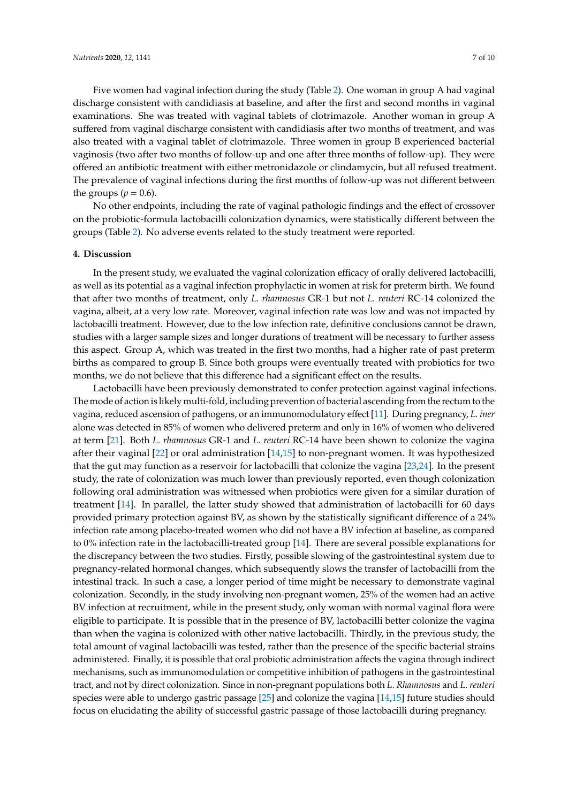Five women had vaginal infection during the study (Table [2\)](#page-5-0). One woman in group A had vaginal discharge consistent with candidiasis at baseline, and after the first and second months in vaginal examinations. She was treated with vaginal tablets of clotrimazole. Another woman in group A suffered from vaginal discharge consistent with candidiasis after two months of treatment, and was also treated with a vaginal tablet of clotrimazole. Three women in group B experienced bacterial vaginosis (two after two months of follow-up and one after three months of follow-up). They were offered an antibiotic treatment with either metronidazole or clindamycin, but all refused treatment. The prevalence of vaginal infections during the first months of follow-up was not different between the groups  $(p = 0.6)$ .

No other endpoints, including the rate of vaginal pathologic findings and the effect of crossover on the probiotic-formula lactobacilli colonization dynamics, were statistically different between the groups (Table [2\)](#page-5-0). No adverse events related to the study treatment were reported.

# **4. Discussion**

In the present study, we evaluated the vaginal colonization efficacy of orally delivered lactobacilli, as well as its potential as a vaginal infection prophylactic in women at risk for preterm birth. We found that after two months of treatment, only *L. rhamnosus* GR-1 but not *L. reuteri* RC-14 colonized the vagina, albeit, at a very low rate. Moreover, vaginal infection rate was low and was not impacted by lactobacilli treatment. However, due to the low infection rate, definitive conclusions cannot be drawn, studies with a larger sample sizes and longer durations of treatment will be necessary to further assess this aspect. Group A, which was treated in the first two months, had a higher rate of past preterm births as compared to group B. Since both groups were eventually treated with probiotics for two months, we do not believe that this difference had a significant effect on the results.

Lactobacilli have been previously demonstrated to confer protection against vaginal infections. The mode of action is likely multi-fold, including prevention of bacterial ascending from the rectum to the vagina, reduced ascension of pathogens, or an immunomodulatory effect [\[11\]](#page-8-1). During pregnancy, *L. iner* alone was detected in 85% of women who delivered preterm and only in 16% of women who delivered at term [\[21\]](#page-8-11). Both *L. rhamnosus* GR-1 and *L. reuteri* RC-14 have been shown to colonize the vagina after their vaginal [\[22\]](#page-8-12) or oral administration [\[14](#page-8-4)[,15\]](#page-8-5) to non-pregnant women. It was hypothesized that the gut may function as a reservoir for lactobacilli that colonize the vagina [\[23,](#page-8-13)[24\]](#page-8-14). In the present study, the rate of colonization was much lower than previously reported, even though colonization following oral administration was witnessed when probiotics were given for a similar duration of treatment [\[14\]](#page-8-4). In parallel, the latter study showed that administration of lactobacilli for 60 days provided primary protection against BV, as shown by the statistically significant difference of a 24% infection rate among placebo-treated women who did not have a BV infection at baseline, as compared to 0% infection rate in the lactobacilli-treated group [\[14\]](#page-8-4). There are several possible explanations for the discrepancy between the two studies. Firstly, possible slowing of the gastrointestinal system due to pregnancy-related hormonal changes, which subsequently slows the transfer of lactobacilli from the intestinal track. In such a case, a longer period of time might be necessary to demonstrate vaginal colonization. Secondly, in the study involving non-pregnant women, 25% of the women had an active BV infection at recruitment, while in the present study, only woman with normal vaginal flora were eligible to participate. It is possible that in the presence of BV, lactobacilli better colonize the vagina than when the vagina is colonized with other native lactobacilli. Thirdly, in the previous study, the total amount of vaginal lactobacilli was tested, rather than the presence of the specific bacterial strains administered. Finally, it is possible that oral probiotic administration affects the vagina through indirect mechanisms, such as immunomodulation or competitive inhibition of pathogens in the gastrointestinal tract, and not by direct colonization. Since in non-pregnant populations both *L*. *Rhamnosus* and *L*. *reuteri* species were able to undergo gastric passage [\[25\]](#page-8-15) and colonize the vagina [\[14](#page-8-4)[,15\]](#page-8-5) future studies should focus on elucidating the ability of successful gastric passage of those lactobacilli during pregnancy.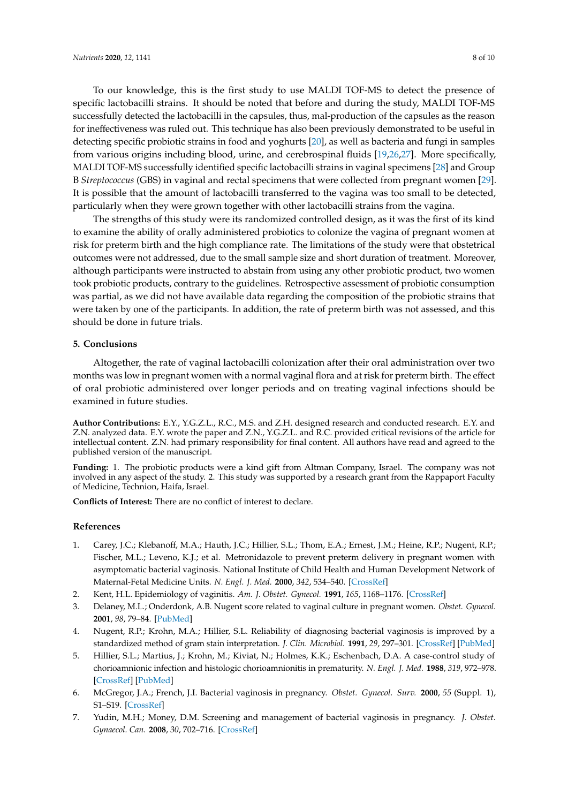To our knowledge, this is the first study to use MALDI TOF-MS to detect the presence of specific lactobacilli strains. It should be noted that before and during the study, MALDI TOF-MS successfully detected the lactobacilli in the capsules, thus, mal-production of the capsules as the reason for ineffectiveness was ruled out. This technique has also been previously demonstrated to be useful in detecting specific probiotic strains in food and yoghurts [\[20\]](#page-8-10), as well as bacteria and fungi in samples from various origins including blood, urine, and cerebrospinal fluids [\[19,](#page-8-9)[26,](#page-8-16)[27\]](#page-8-17). More specifically, MALDI TOF-MS successfully identified specific lactobacilli strains in vaginal specimens [\[28\]](#page-9-0) and Group B *Streptococcus* (GBS) in vaginal and rectal specimens that were collected from pregnant women [\[29\]](#page-9-1). It is possible that the amount of lactobacilli transferred to the vagina was too small to be detected, particularly when they were grown together with other lactobacilli strains from the vagina.

The strengths of this study were its randomized controlled design, as it was the first of its kind to examine the ability of orally administered probiotics to colonize the vagina of pregnant women at risk for preterm birth and the high compliance rate. The limitations of the study were that obstetrical outcomes were not addressed, due to the small sample size and short duration of treatment. Moreover, although participants were instructed to abstain from using any other probiotic product, two women took probiotic products, contrary to the guidelines. Retrospective assessment of probiotic consumption was partial, as we did not have available data regarding the composition of the probiotic strains that were taken by one of the participants. In addition, the rate of preterm birth was not assessed, and this should be done in future trials.

#### **5. Conclusions**

Altogether, the rate of vaginal lactobacilli colonization after their oral administration over two months was low in pregnant women with a normal vaginal flora and at risk for preterm birth. The effect of oral probiotic administered over longer periods and on treating vaginal infections should be examined in future studies.

**Author Contributions:** E.Y., Y.G.Z.L., R.C., M.S. and Z.H. designed research and conducted research. E.Y. and Z.N. analyzed data. E.Y. wrote the paper and Z.N., Y.G.Z.L. and R.C. provided critical revisions of the article for intellectual content. Z.N. had primary responsibility for final content. All authors have read and agreed to the published version of the manuscript.

**Funding:** 1. The probiotic products were a kind gift from Altman Company, Israel. The company was not involved in any aspect of the study. 2. This study was supported by a research grant from the Rappaport Faculty of Medicine, Technion, Haifa, Israel.

**Conflicts of Interest:** There are no conflict of interest to declare.

# **References**

- <span id="page-7-0"></span>1. Carey, J.C.; Klebanoff, M.A.; Hauth, J.C.; Hillier, S.L.; Thom, E.A.; Ernest, J.M.; Heine, R.P.; Nugent, R.P.; Fischer, M.L.; Leveno, K.J.; et al. Metronidazole to prevent preterm delivery in pregnant women with asymptomatic bacterial vaginosis. National Institute of Child Health and Human Development Network of Maternal-Fetal Medicine Units. *N. Engl. J. Med.* **2000**, *342*, 534–540. [\[CrossRef\]](http://dx.doi.org/10.1056/NEJM200002243420802)
- <span id="page-7-1"></span>2. Kent, H.L. Epidemiology of vaginitis. *Am. J. Obstet. Gynecol.* **1991**, *165*, 1168–1176. [\[CrossRef\]](http://dx.doi.org/10.1016/S0002-9378(12)90722-X)
- <span id="page-7-2"></span>3. Delaney, M.L.; Onderdonk, A.B. Nugent score related to vaginal culture in pregnant women. *Obstet. Gynecol.* **2001**, *98*, 79–84. [\[PubMed\]](http://www.ncbi.nlm.nih.gov/pubmed/11430961)
- <span id="page-7-3"></span>4. Nugent, R.P.; Krohn, M.A.; Hillier, S.L. Reliability of diagnosing bacterial vaginosis is improved by a standardized method of gram stain interpretation. *J. Clin. Microbiol.* **1991**, *29*, 297–301. [\[CrossRef\]](http://dx.doi.org/10.1128/JCM.29.2.297-301.1991) [\[PubMed\]](http://www.ncbi.nlm.nih.gov/pubmed/1706728)
- <span id="page-7-4"></span>5. Hillier, S.L.; Martius, J.; Krohn, M.; Kiviat, N.; Holmes, K.K.; Eschenbach, D.A. A case-control study of chorioamnionic infection and histologic chorioamnionitis in prematurity. *N. Engl. J. Med.* **1988**, *319*, 972–978. [\[CrossRef\]](http://dx.doi.org/10.1056/NEJM198810133191503) [\[PubMed\]](http://www.ncbi.nlm.nih.gov/pubmed/3262199)
- <span id="page-7-5"></span>6. McGregor, J.A.; French, J.I. Bacterial vaginosis in pregnancy. *Obstet. Gynecol. Surv.* **2000**, *55* (Suppl. 1), S1–S19. [\[CrossRef\]](http://dx.doi.org/10.1097/00006254-200005001-00001)
- <span id="page-7-6"></span>7. Yudin, M.H.; Money, D.M. Screening and management of bacterial vaginosis in pregnancy. *J. Obstet. Gynaecol. Can.* **2008**, *30*, 702–716. [\[CrossRef\]](http://dx.doi.org/10.1016/S1701-2163(16)32919-X)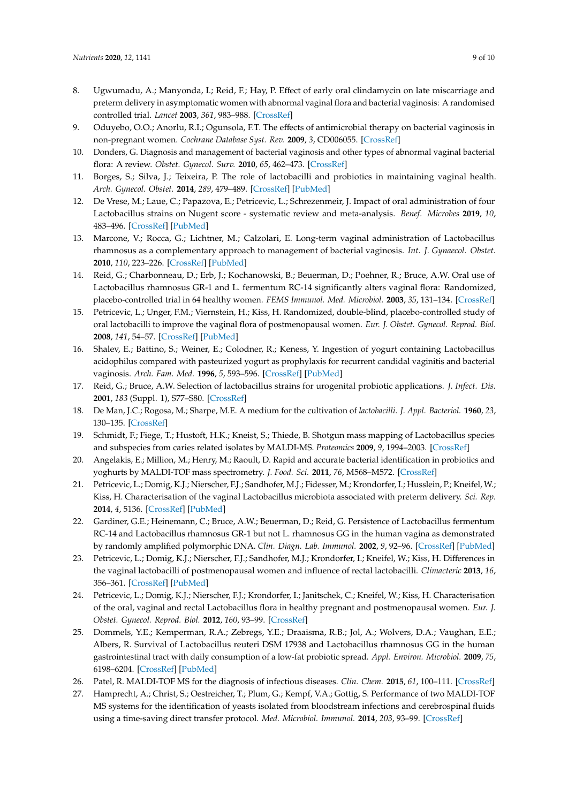- 8. Ugwumadu, A.; Manyonda, I.; Reid, F.; Hay, P. Effect of early oral clindamycin on late miscarriage and preterm delivery in asymptomatic women with abnormal vaginal flora and bacterial vaginosis: A randomised controlled trial. *Lancet* **2003**, *361*, 983–988. [\[CrossRef\]](http://dx.doi.org/10.1016/S0140-6736(03)12823-1)
- 9. Oduyebo, O.O.; Anorlu, R.I.; Ogunsola, F.T. The effects of antimicrobial therapy on bacterial vaginosis in non-pregnant women. *Cochrane Database Syst. Rev.* **2009**, *3*, CD006055. [\[CrossRef\]](http://dx.doi.org/10.1002/14651858.CD006055.pub2)
- <span id="page-8-0"></span>10. Donders, G. Diagnosis and management of bacterial vaginosis and other types of abnormal vaginal bacterial flora: A review. *Obstet. Gynecol. Surv.* **2010**, *65*, 462–473. [\[CrossRef\]](http://dx.doi.org/10.1097/OGX.0b013e3181e09621)
- <span id="page-8-1"></span>11. Borges, S.; Silva, J.; Teixeira, P. The role of lactobacilli and probiotics in maintaining vaginal health. *Arch. Gynecol. Obstet.* **2014**, *289*, 479–489. [\[CrossRef\]](http://dx.doi.org/10.1007/s00404-013-3064-9) [\[PubMed\]](http://www.ncbi.nlm.nih.gov/pubmed/24170161)
- <span id="page-8-2"></span>12. De Vrese, M.; Laue, C.; Papazova, E.; Petricevic, L.; Schrezenmeir, J. Impact of oral administration of four Lactobacillus strains on Nugent score - systematic review and meta-analysis. *Benef. Microbes* **2019**, *10*, 483–496. [\[CrossRef\]](http://dx.doi.org/10.3920/BM2018.0129) [\[PubMed\]](http://www.ncbi.nlm.nih.gov/pubmed/31012733)
- <span id="page-8-3"></span>13. Marcone, V.; Rocca, G.; Lichtner, M.; Calzolari, E. Long-term vaginal administration of Lactobacillus rhamnosus as a complementary approach to management of bacterial vaginosis. *Int. J. Gynaecol. Obstet.* **2010**, *110*, 223–226. [\[CrossRef\]](http://dx.doi.org/10.1016/j.ijgo.2010.04.025) [\[PubMed\]](http://www.ncbi.nlm.nih.gov/pubmed/20573348)
- <span id="page-8-4"></span>14. Reid, G.; Charbonneau, D.; Erb, J.; Kochanowski, B.; Beuerman, D.; Poehner, R.; Bruce, A.W. Oral use of Lactobacillus rhamnosus GR-1 and L. fermentum RC-14 significantly alters vaginal flora: Randomized, placebo-controlled trial in 64 healthy women. *FEMS Immunol. Med. Microbiol.* **2003**, *35*, 131–134. [\[CrossRef\]](http://dx.doi.org/10.1016/S0928-8244(02)00465-0)
- <span id="page-8-5"></span>15. Petricevic, L.; Unger, F.M.; Viernstein, H.; Kiss, H. Randomized, double-blind, placebo-controlled study of oral lactobacilli to improve the vaginal flora of postmenopausal women. *Eur. J. Obstet. Gynecol. Reprod. Biol.* **2008**, *141*, 54–57. [\[CrossRef\]](http://dx.doi.org/10.1016/j.ejogrb.2008.06.003) [\[PubMed\]](http://www.ncbi.nlm.nih.gov/pubmed/18701205)
- <span id="page-8-6"></span>16. Shalev, E.; Battino, S.; Weiner, E.; Colodner, R.; Keness, Y. Ingestion of yogurt containing Lactobacillus acidophilus compared with pasteurized yogurt as prophylaxis for recurrent candidal vaginitis and bacterial vaginosis. *Arch. Fam. Med.* **1996**, *5*, 593–596. [\[CrossRef\]](http://dx.doi.org/10.1001/archfami.5.10.593) [\[PubMed\]](http://www.ncbi.nlm.nih.gov/pubmed/8930233)
- <span id="page-8-7"></span>17. Reid, G.; Bruce, A.W. Selection of lactobacillus strains for urogenital probiotic applications. *J. Infect. Dis.* **2001**, *183* (Suppl. 1), S77–S80. [\[CrossRef\]](http://dx.doi.org/10.1086/318841)
- <span id="page-8-8"></span>18. De Man, J.C.; Rogosa, M.; Sharpe, M.E. A medium for the cultivation of *lactobacilli*. *J. Appl. Bacteriol.* **1960**, *23*, 130–135. [\[CrossRef\]](http://dx.doi.org/10.1111/j.1365-2672.1960.tb00188.x)
- <span id="page-8-9"></span>19. Schmidt, F.; Fiege, T.; Hustoft, H.K.; Kneist, S.; Thiede, B. Shotgun mass mapping of Lactobacillus species and subspecies from caries related isolates by MALDI-MS. *Proteomics* **2009**, *9*, 1994–2003. [\[CrossRef\]](http://dx.doi.org/10.1002/pmic.200701028)
- <span id="page-8-10"></span>20. Angelakis, E.; Million, M.; Henry, M.; Raoult, D. Rapid and accurate bacterial identification in probiotics and yoghurts by MALDI-TOF mass spectrometry. *J. Food. Sci.* **2011**, *76*, M568–M572. [\[CrossRef\]](http://dx.doi.org/10.1111/j.1750-3841.2011.02369.x)
- <span id="page-8-11"></span>21. Petricevic, L.; Domig, K.J.; Nierscher, F.J.; Sandhofer, M.J.; Fidesser, M.; Krondorfer, I.; Husslein, P.; Kneifel, W.; Kiss, H. Characterisation of the vaginal Lactobacillus microbiota associated with preterm delivery. *Sci. Rep.* **2014**, *4*, 5136. [\[CrossRef\]](http://dx.doi.org/10.1038/srep05136) [\[PubMed\]](http://www.ncbi.nlm.nih.gov/pubmed/24875844)
- <span id="page-8-12"></span>22. Gardiner, G.E.; Heinemann, C.; Bruce, A.W.; Beuerman, D.; Reid, G. Persistence of Lactobacillus fermentum RC-14 and Lactobacillus rhamnosus GR-1 but not L. rhamnosus GG in the human vagina as demonstrated by randomly amplified polymorphic DNA. *Clin. Diagn. Lab. Immunol.* **2002**, *9*, 92–96. [\[CrossRef\]](http://dx.doi.org/10.1128/CDLI.9.1.92-96.2002) [\[PubMed\]](http://www.ncbi.nlm.nih.gov/pubmed/11777835)
- <span id="page-8-13"></span>23. Petricevic, L.; Domig, K.J.; Nierscher, F.J.; Sandhofer, M.J.; Krondorfer, I.; Kneifel, W.; Kiss, H. Differences in the vaginal lactobacilli of postmenopausal women and influence of rectal lactobacilli. *Climacteric* **2013**, *16*, 356–361. [\[CrossRef\]](http://dx.doi.org/10.3109/13697137.2012.725788) [\[PubMed\]](http://www.ncbi.nlm.nih.gov/pubmed/23113473)
- <span id="page-8-14"></span>24. Petricevic, L.; Domig, K.J.; Nierscher, F.J.; Krondorfer, I.; Janitschek, C.; Kneifel, W.; Kiss, H. Characterisation of the oral, vaginal and rectal Lactobacillus flora in healthy pregnant and postmenopausal women. *Eur. J. Obstet. Gynecol. Reprod. Biol.* **2012**, *160*, 93–99. [\[CrossRef\]](http://dx.doi.org/10.1016/j.ejogrb.2011.10.002)
- <span id="page-8-15"></span>25. Dommels, Y.E.; Kemperman, R.A.; Zebregs, Y.E.; Draaisma, R.B.; Jol, A.; Wolvers, D.A.; Vaughan, E.E.; Albers, R. Survival of Lactobacillus reuteri DSM 17938 and Lactobacillus rhamnosus GG in the human gastrointestinal tract with daily consumption of a low-fat probiotic spread. *Appl. Environ. Microbiol.* **2009**, *75*, 6198–6204. [\[CrossRef\]](http://dx.doi.org/10.1128/AEM.01054-09) [\[PubMed\]](http://www.ncbi.nlm.nih.gov/pubmed/19684171)
- <span id="page-8-16"></span>26. Patel, R. MALDI-TOF MS for the diagnosis of infectious diseases. *Clin. Chem.* **2015**, *61*, 100–111. [\[CrossRef\]](http://dx.doi.org/10.1373/clinchem.2014.221770)
- <span id="page-8-17"></span>27. Hamprecht, A.; Christ, S.; Oestreicher, T.; Plum, G.; Kempf, V.A.; Gottig, S. Performance of two MALDI-TOF MS systems for the identification of yeasts isolated from bloodstream infections and cerebrospinal fluids using a time-saving direct transfer protocol. *Med. Microbiol. Immunol.* **2014**, *203*, 93–99. [\[CrossRef\]](http://dx.doi.org/10.1007/s00430-013-0319-9)